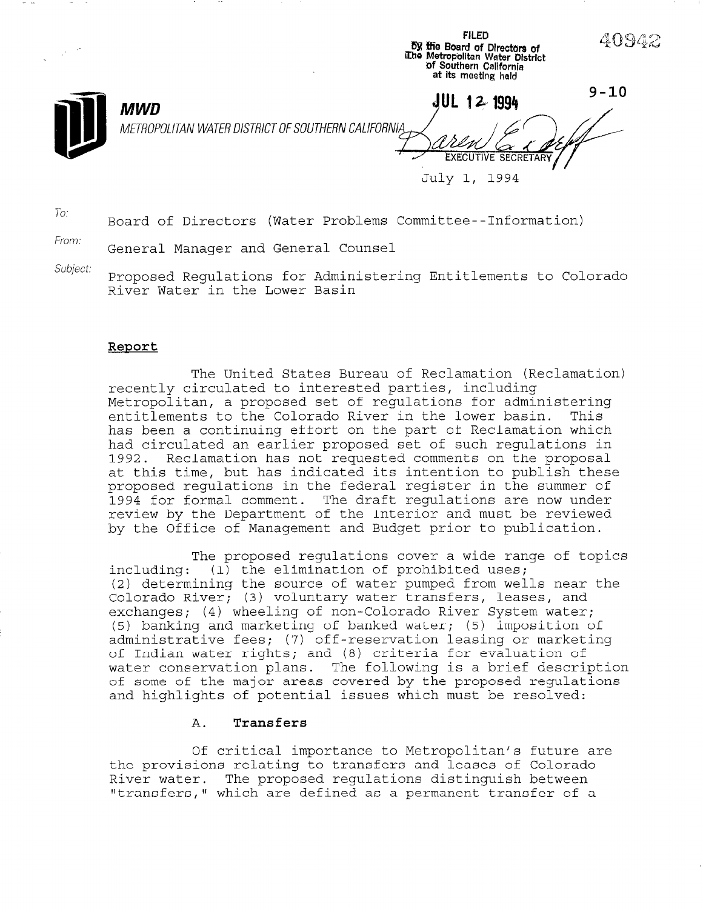| $\sim$ |                                                                                 | <b>FILED</b><br>by the Board of Directors of<br>The Metropolitan Water District<br>of Southern California<br>at its meeting held | 40942    |
|--------|---------------------------------------------------------------------------------|----------------------------------------------------------------------------------------------------------------------------------|----------|
|        | JUL<br><b>MWD</b><br>METROPOLITAN WATER DISTRICT OF SOUTHERN CALIFORNIA<br>July | 12 1994<br><b>EXECUTIVE SECRETARY</b><br>1994                                                                                    | $9 - 10$ |

To: Board of Directors (Water Problems Committee--Information)

From: General Manager and General Counsel

Subject: Proposed Regulations for Administering Entitlements to Colorado River Water in the Lower Basin

## Report

The United States Bureau of Reclamation (Reclamation) recently circulated to interested parties, including Metropolitan, a proposed set of regulations for administering entitlements to the Colorado River in the lower basin. This has been a continuing effort on the part of Reclamation which had circulated an earlier proposed set of such regulations in 1992. Reclamation has not requested comments on the proposal at this time, but has indicated its intention to publish these proposed regulations in the federal register in the summer of 1994 for formal comment. The draft regulations are now under review by the Department of the Interior and must be reviewed by the Office of Management and Budget prior to publication.

The proposed regulations cover a wide range of topics including:  $(i)$  the elimination of prohibited uses; (2) determining the source of water pumped from wells near the Colorado River; (3) voluntary water transfers, leases, and exchanges; (4) wheeling of non-Colorado River System water; (5) banking and marketing of banked water; (5) imposition of administrative fees; (7) off-reservation leasing or marketing of Indian water rights; and (8) criteria for evaluation of water conservation plans. The following is a brief description of some of the major areas covered by the proposed regulations of some of the major areas covered by the proposed regulations<br>and highlights of potential issues which must be resolved:

# A. Transfers

Of critical importance to Metropolitan's future are the provisions relations relations and leases and leases and leases and leases of the colorado of the colorado River water. The proposed regulations distinguish between River water. The proposed regulations distinguish between<br>"transfers," which are defined as a permanent transfer of a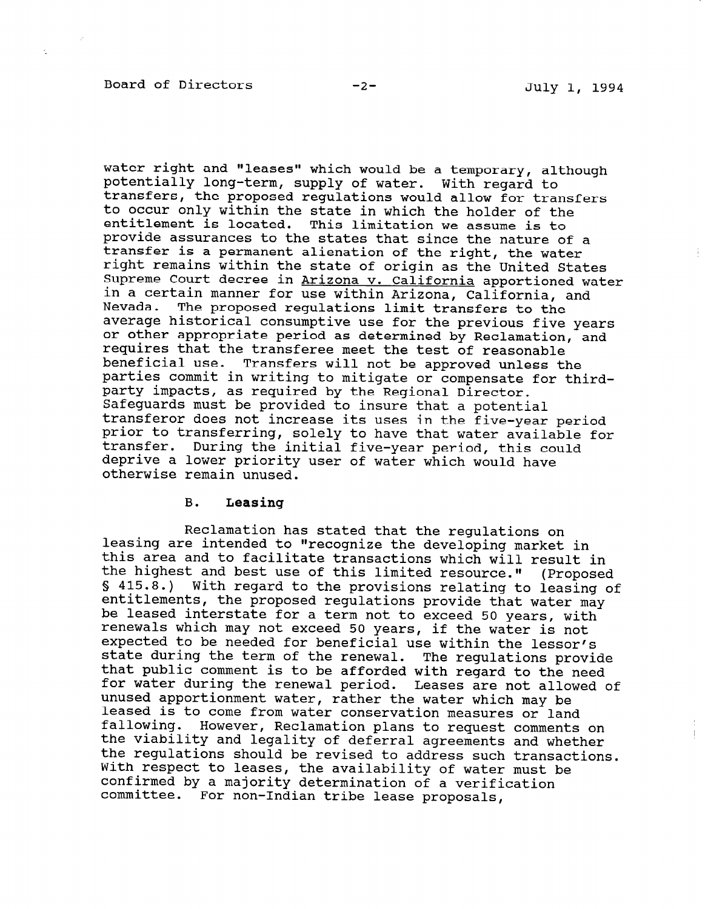water right and "leases" which would be a temporary, although potentially long-term, supply of water. With regard to transfers, the proposed regulations would allow for transfe to occur only within the state in which the holder of the entitlement is located. This limitation we assume is to provide assurances to the states that since the nature of a transfer is a permanent alienation of the right, the water right remains within the state of origin as the United States Supreme Court decree in Arizona v. California apportioned water in a certain manner for use within Arizona, California, and Nevada. The proposed regulations limit transfers to the average historical consumptive use for the previous five years or other appropriate period as determined by Reclamation, and requires that the transferee meet the test of reasonable beneficial use. Transfers will not be approved unless the parties commit in writing to mitigate or compensate for thirdparty impacts, as required by the Regional Director. Safeguards must be provided to insure that a potential transferor does not increase its uses in the five-year period prior to transferring, solely to have that water available for transfer. During the initial five-year period, this could deprive a lower priority user of water which would have otherwise remain unused.

#### B. Leasing

Reclamation has stated that the regulations on leasing are intended to "recognize the developing market in this area and to facilitate transactions which will result in the highest and best use of this limited resource." S 415.8.) With regard to the provisions relating to leasing of (Proposed entitlements, the proposed regulations provide that water may be leased interstate for a term not to exceed 50 years, with renewals which may not exceed 50 years, if the water is not expected to be needed for beneficial use within the lessor's state during the term of the renewal. The regulations provide that public comment is to be afforded with regard to the need enas passio comment is to be afformed with regard to the need. unused apportionment water, rather the water which may be unused apportionment water, rather the water which may be<br>leased is to come from water conservation measures or land fallowing. However, Reclamation plans to request comments on the viability and legality of deferral agreements and whether the regulations should be revised to address such transactions. With respect to leases, the availability of water must be nich respect to reases, the availability of water n confirmed by a majority determination of a verification committee. For non-Indian tribe lease proposals,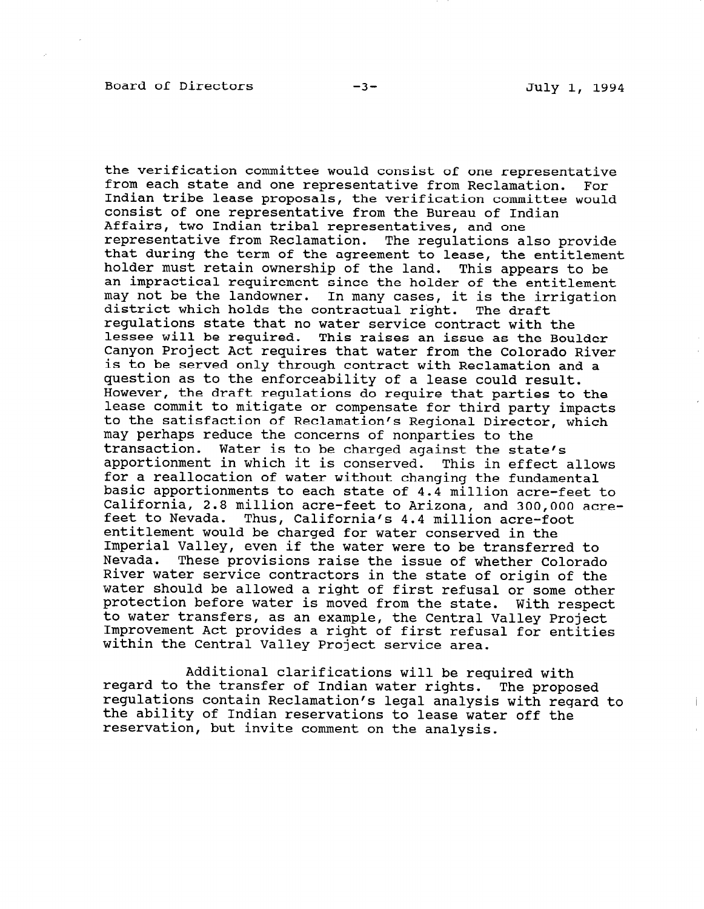the verification committee would consist of one representative from each state and one representative from Reclamation. For Indian tribe lease proposals, the verification committee would consist of one representative from the Bureau of Indian Affairs, two Indian tribal representatives, and one representative from Reclamation. The regulations also provide that during the term of the agreement to lease, the entitlement holder must retain ownership of the land. This appears to be an impractical requirement since the holder of the entitlement may not be the landowner. In many cases, it is the irrigation district which holds the contractual right. The draft regulations state that no water service contract with the lessee will be required. This raises an issue as the Boulder Canyon Project Act requires that water from the Colorado River is to be served only through contract with Reclamation and a question as to the enforceability of a lease could result. However, the draft regulations do require that parties to the lease commit to mitigate or compensate for third party impacts to the satisfaction of Reclamation's Regional Director, which may perhaps reduce the concerns of nonparties to the transaction. Water is to be charged against the state's apportionment in which it is conserved. This in effect allows for a reallocation of water without changing the fundamental basic apportionments to each state of 4.4 million acre-feet to California, 2.8 million acre-feet to Arizona, and 300,000 acrefeet to Nevada. Thus, California's 4.4 million acre-foot entitlement would be charged for water conserved in the Imperial Valley, even if the water were to be transferred to Nevada. These provisions raise the issue of whether Colorado River water service contractors in the state of origin of the water should be allowed a right of first refusal or some other protection before water is moved from the state. With respect to water transfers, as an example, the Central Valley Project Improvement Act provides a right of first refusal for entities within the Central Valley Project service area.

Additional clarifications will be required with regard to the transfer of Indian water rights. The proposed regard to the transfer of indian water rights. The proposed teguiacions concain reclamacion s legal analysis with red the ability of Indian reservations to lease water off the reservation, but invite comment on the analysis.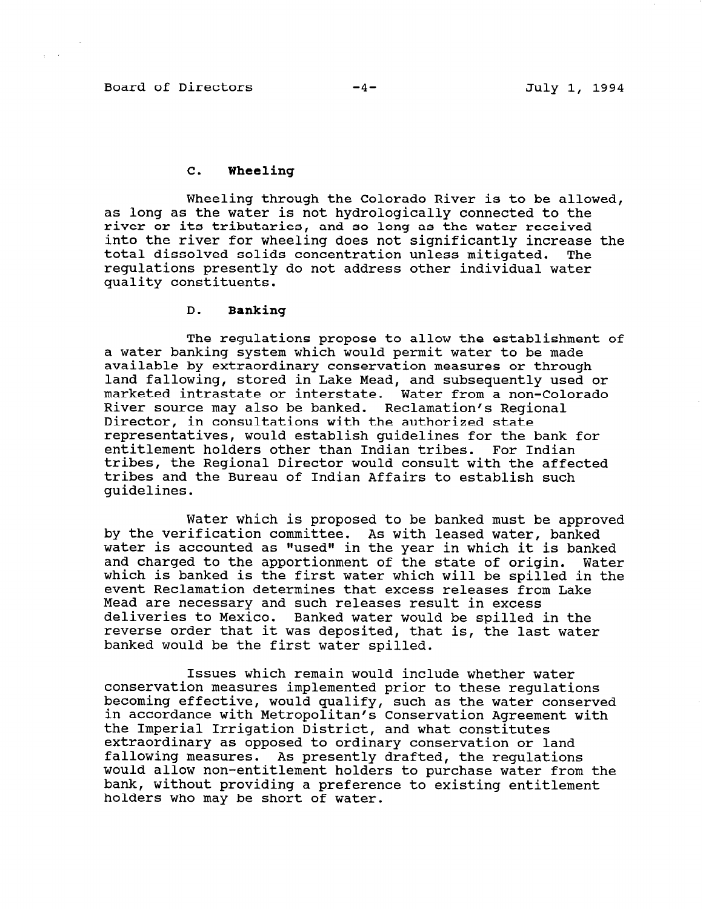#### C. Wheeling

Wheeling through the Colorado River is to be allowed, as long as the water is not hydrologically connected to the river or its tributaries, and so long as the water received into the river for wheeling does not significantly increase the total dissolved solids concentration unless mitigated. The regulations presently do not address other individual water quality constituents.

### D. Banking

The regulations propose to allow the establishment of a water banking system which would permit water to be made available by extraordinary conservation measures or through land fallowing, stored in Lake Mead, and subsequently used or marketed intrastate or interstate. Water from a non-Colorado River source may also be banked. Reclamation's Regional Director, in consultations with the authorized state representatives, would establish guidelines for the bank for entitlement holders other than Indian tribes. For Indian tribes, the Regional Director would consult with the affected tribes and the Bureau of Indian Affairs to establish such guidelines.

Water which is proposed to be banked must be approved by the verification committee. As with leased water, banked water is accounted as "used" in the year in which it is banked and charged to the apportionment of the state of origin. Water which is banked is the first water which will be spilled in the event Reclamation determines that excess releases from Lake Mead are necessary and such releases result in excess deliveries to Mexico. Banked water would be spilled in the revierse order that it was deposited, that is, the last water banked would be the first water spilled.

Issues which remain would include whether water conservation measures implemented prior to these regulations becoming effective, would gualify, such as the water conserved becoming errective, would quality, such as the water conserv<br>in agreements with Meteropolitan's C in accordance with Metropolitan's Conservation Agreement with the Imperial Irrigation District, and what constitutes extraordinary as opposed to ordinary conservation or land fallowing measures. As presently drafted, the requlations would allow non-entitlement holders to purchase water from the bank, without providing a preference to existing entitlement<br>holders who may be short of water.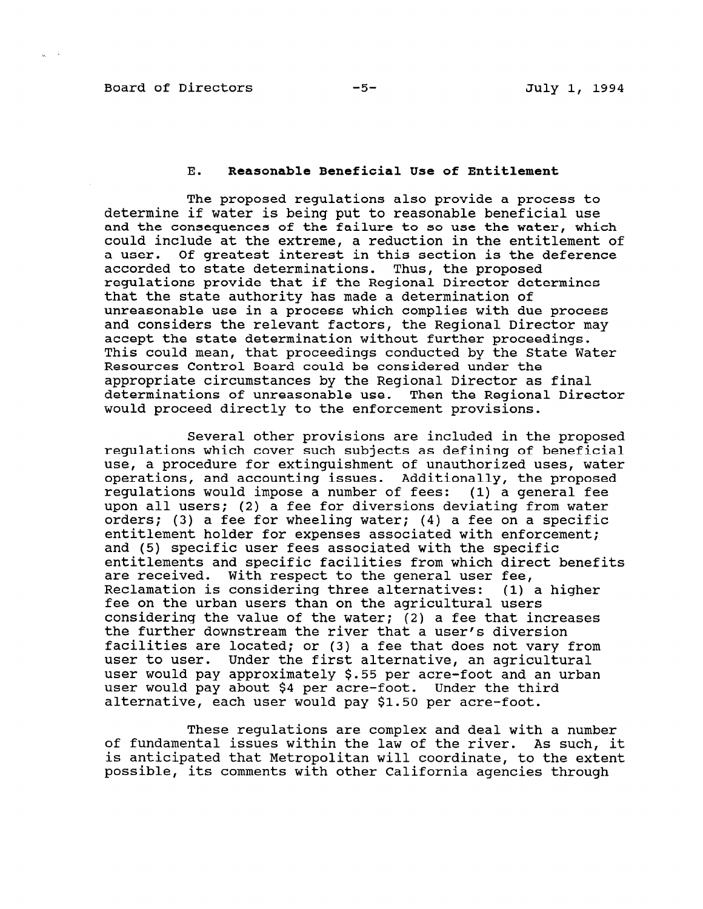#### Board of Directors -5- -5- July 1, 1994

#### E. Reasonable Beneficial Use of Entitlement

The proposed regulations also provide a process to determine if water is being put to reasonable beneficial use and the consequences of the failure to so use the water, which could include at the extreme, a reduction in the entitlement of a user. Of greatest interest in this section is the deference accorded to state determinations. Thus, the proposed regulations provide that if the Regional Director determines that the state authority has made a determination of unreasonable use in a process which complies with due process and considers the relevant factors, the Regional Director may accept the state determination without further proceedings. This could mean, that proceedings conducted by the State Water Resources Control Board could be considered under the appropriate circumstances by the Regional Director as final determinations of unreasonable use. Then the Regional Director would proceed directly to the enforcement provisions.

Several other provisions are included in the proposed regulations which cover such subjects as defining of beneficial use, a procedure for extinguishment of unauthorized uses, water operations, and accounting issues. Additionally, the proposed regulations would impose a number of fees: (1) a general fee upon all users; (2) a fee for diversions deviating from water orders; (3) a fee for wheeling water; (4) a fee on a specific entitlement holder for expenses associated with enforcement; and (5) specific user fees associated with the specific entitlements and specific facilities from which direct benefits are received. With respect to the general user fee, Reclamation is considering three alternatives: (1) a higher fee on the urban users than on the agricultural users considering the value of the water; (2) a fee that increases the further downstream the river that a user's diversion facilities are located; or (3) a fee that does not vary from user to user. Under the first alternative, an agricultural user would pay approximately \$.55 per acre-foot and an urban user would pay about \$4 per acre-foot. Under the third alternative, each user would pay \$1.50 per acre-foot.

These regulations are complex and deal with a number of fundamental issues within the law of the river. As such, it is anticipated that Metropolitan will coordinate, to the extent possible, its comments with other California agencies the extra consideration of the constant of the constant of the constant of the constant of the constant of the constant of the constant of the constant of the constant